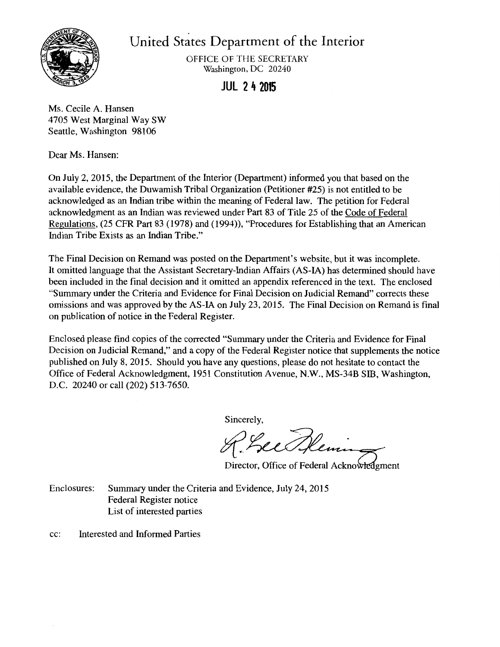

United States Department of the Interior

OFFICE OF THE SECRETARY Washington, DC 20240

**JUL 2 4 2015** 

Ms. Cecile A. Hansen 4705 West Marginal Way SW Seattle, Washington 98106

Dear Ms. Hansen:

On July 2, 2015, the Department of the Interior (Department) informed you that based on the available evidence, the Duwamish Tribal Organization (Petitioner #25) is not entitled to be acknowledged as an Indian tribe within the meaning of Federal law. The petition for Federal acknowledgment as an Indian was reviewed under Part 83 of Title 25 of the Code of Federal Regulations, (25 CFR Part 83 (1978) and (1994)), "Procedures for Establishing that an American Indian Tribe Exists as an Indian Tribe."

The Final Decision on Remand was posted on the Department's website, but it was incomplete. It omitted language that the Assistant Secretary-Indian Affairs (AS-IA) has determined should have been included in the final decision and it omitted an appendix referenced in the text. The enclosed "Summary under the Criteria and Evidence for Final Decision on Judicial Remand" corrects these omissions and was approved by the AS-IA on July 23, 2015. The Final Decision on Remand is final on publication of notice in the Federal Register.

Enclosed please find copies of the corrected "Summary under the Criteria and Evidence for Final Decision on Judicial Remand," and a copy of the Federal Register notice that supplements the notice published on July 8, 2015. Should you have any questions, please do not hesitate to contact the Office of Federal Acknowledgment, 1951 Constitution Avenue, N.W., MS-34B SIB, Washington, D.C. 20240 or call (202) 513-7650.

Sincerely,

Director, Office of Federal Ackno

Enclosures: Summary under the Criteria and Evidence, July 24, 2015 Federal Register notice List of interested parties

cc: Interested and Informed Parties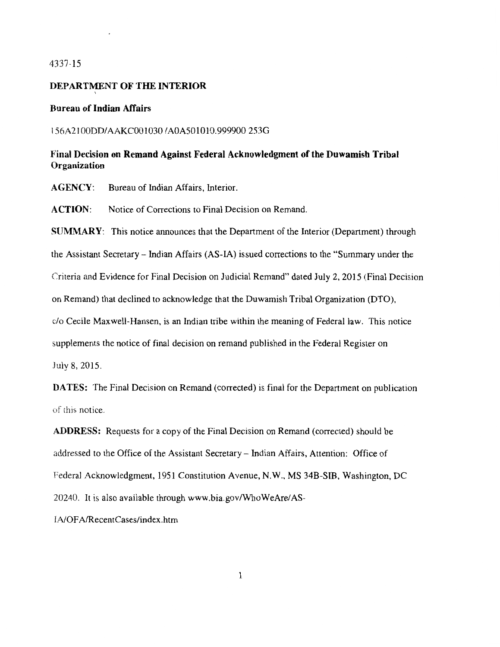### 4337-15

#### DEPARTMENT OF THE INTERIOR

### Bureau of Indian Affairs

I

#### l 56A2IOODD/AAKCOOl030 /AOA501010.999900 2530

# Final Decision on Remand Against Federal Acknowledgment of the Duwamish Tribal **Organization**

AGENCY: Bureau of Indian Affairs, Interior.

ACTION: Notice of Corrections to Final Decision on Remand.

SUMMARY: This notice announces that the Department of the Interior (Department) through the Assistant Secretary - Indian Affairs (AS-IA) issued corrections to the "Summary under the Criteria and Evidence for Final Decision on Judicial Remand" dated July 2, 2015 (Final Decision on Remand) that declined to acknowledge that the Duwamish Tribal Organization (DTO), c/o Cecile Maxwell-Hansen, is an Indian tribe within the meaning of Federal law. This notice supplements the notice of final decision on remand published in the Federal Register on July 8, 2015.

DATES: The Final Decision on Remand (corrected) is final for the Department on publication of this notice.

ADDRESS: Requests for a copy of the Final Decision on Remand (corrected) should be addressed to the Office of the Assistant Secretary - Indian Affairs, Attention: Office of Federal Acknowledgment, 1951 Constitution Avenue, N.W., MS 34B-SIB, Washington, DC 20240. It is also available through www.bia.gov/WhoWeAre/AS-INOF A/RecentCases/index .htm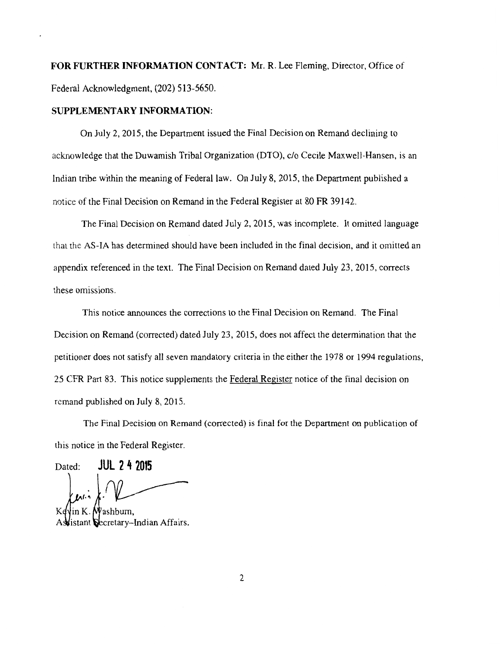**FOR FURTHER INFORMATION CONT ACT:** Mr. R. Lee Fleming, Director, Office of Federal Acknowledgment, (202) 513-5650.

#### **SUPPLEMENTARY INFORMATION:**

On July 2, 2015, the Department issued the Final Decision on Remand declining to acknowledge that the Duwamish Tribal Organization (DTO), c/o Cecile Maxwell-Hansen, is an Indian tribe within the meaning of Federal law. On July 8, 2015, the Department published a notice of the Final Decision on Remand in the Federal Register at 80 FR 39142.

The Final Decision on Remand dated July 2, 2015, was incomplete. It omitted language that the AS-IA has determined should have been included in the final decision, and it omitted an appendix referenced in the text. The Final Decision on Remand dated July 23, 2015, corrects these omissions.

This notice announces the corrections to the Final Decision on Remand. The Final Decision on Remand (corrected) dated July 23, 2015, does not affect the determination that the petitioner does not satisfy all seven mandatory criteria in the either the 1978 or 1994 regulations, 25 CFR Part 83. This notice supplements the Federal Register notice of the final decision on remand published on July 8, 2015.

The Final Decision on Remand (corrected) is final for the Department on publication of this notice in the Federal Register.

Dated: **JUL 2 4 2015** 

n K. Mashburn. tant Secretary-Indian Affairs.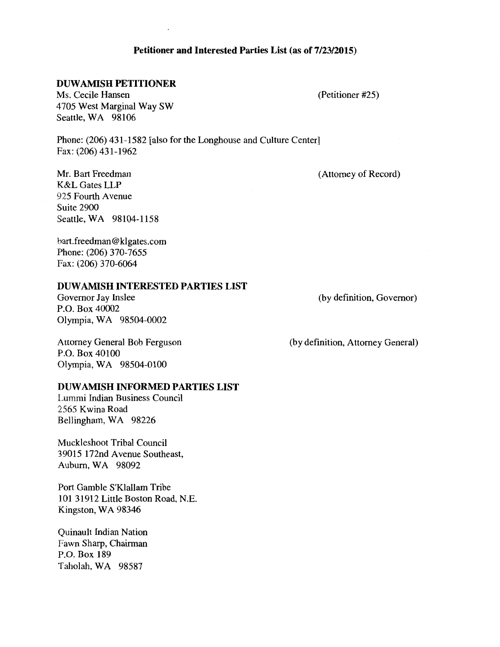## **Petitioner and Interested Parties List (as of 7/23/2015)**

# **DUWAMISH PETITIONER**

Ms. Cecile Hansen 4705 West Marginal Way SW Seattle, WA 98106

Phone: (206) 431-1582 [also for the Longhouse and Culture Center] Fax: (206) 431-1962

(Attorney of Record)

(Petitioner #25)

Mr. Bart Freedman K&L Gates LLP 925 Fourth Avenue Suite 2900 Seattle, WA 98104-1158

bart.freedman@klgates.com Phone: (206) 370-7655 Fax: (206) 370-6064

### **DUWAMISH INTERESTED PARTIES LIST**

Governor Jay Inslee P.O. Box 40002 Olympia, WA 98504-0002 (by definition, Governor)

Attorney General Bob Ferguson P.O. Box 40100 Olympia, WA 98504-0100

**DUW AMISH INFORMED PARTIES LIST** 

Lummi Indian Business Council 2565 Kwina Road Bellingham, WA 98226

Muckleshoot Tribal Council 39015 172nd Avenue Southeast, Auburn, WA 98092

Port Gamble S'Klallam Tribe 101 31912 Little Boston Road, N.E. Kingston, WA 98346

Quinault Indian Nation Fawn Sharp, Chairman P.O. Box 189 Taholah, WA 98587

(by definition, Attorney General)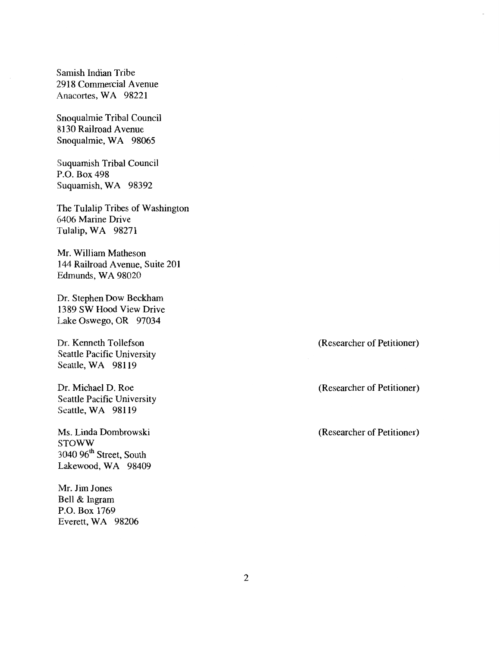Samish Indian Tribe 2918 Commercial Avenue Anacortes, WA 98221

Snoqualmie Tribal Council 8130 Railroad A venue Snoqualmie, WA 98065

Suquamish Tribal Council P.O. Box 498 Suquamish, WA 98392

The Tulalip Tribes of Washington 6406 Marine Drive Tulalip, WA 98271

Mr. William Matheson 144 Railroad Avenue, Suite 201 Edmunds, WA 98020

Dr. Stephen Dow Beckham 1389 SW Hood View Drive Lake Oswego, OR 97034

Dr. Kenneth Tollefson Seattle Pacific University Seattle, WA 98119

Dr. Michael D. Roe Seattle Pacific University Seattle, WA 98119

Ms. Linda Dombrowski STOWW 3040 96<sup>th</sup> Street, South Lakewood, WA 98409

Mr. Jim Jones Bell & Ingram P.O. Box 1769 Everett, WA 98206 (Researcher of Petitioner)

(Researcher of Petitioner)

(Researcher of Petitioner)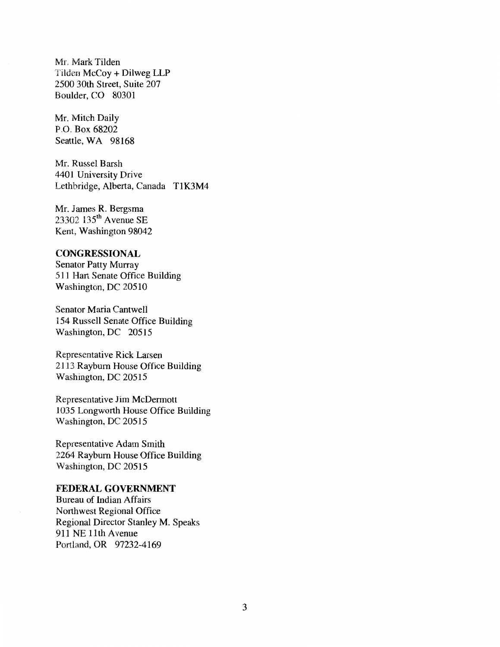Mr. Mark Tilden Tilden McCoy + Dilweg LLP 2500 30th Street, Suite 207 Boulder, CO 80301

Mr. Mitch Daily P.O. Box 68202 Seattle, WA 98168

Mr. Russel Barsh 4401 University Drive Lethbridge, Alberta, Canada TIK3M4

Mr. James R. Bergsma 23302 135th Avenue SE Kent, Washington 98042

## **CONGRESSIONAL**

Senator Patty Murray 511 Hart Senate Office Building Washington, DC 20510

Senator Maria Cantwell 154 Russell Senate Office Building Washington, DC 20515

Representative Rick Larsen 2113 Rayburn House Office Building Washington, DC 20515

Representative Jim McDermott 1035 Longworth House Office Building Washington, DC 20515

Representative Adam Smith 2264 Rayburn House Office Building Washington, DC 20515

### FEDERAL GOVERNMENT

Bureau of Indian Affairs Northwest Regional Office Regional Director Stanley M. Speaks 911 NE 11th Avenue Portland, OR 97232-4169